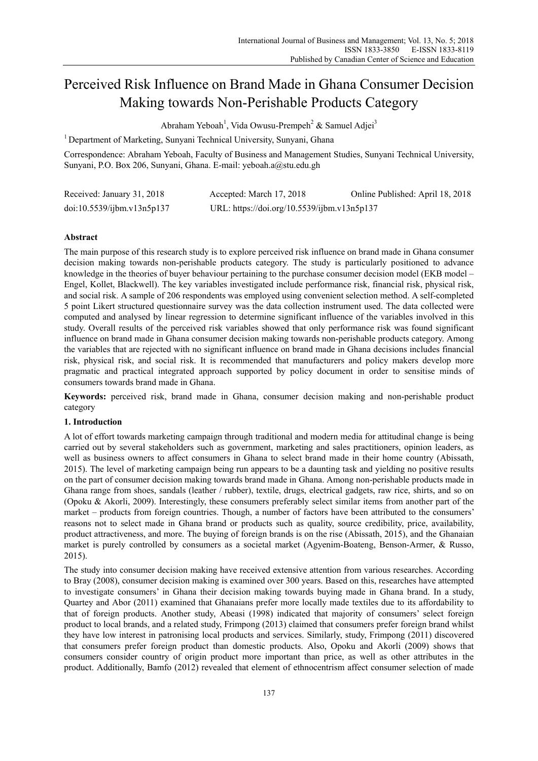# Perceived Risk Influence on Brand Made in Ghana Consumer Decision Making towards Non-Perishable Products Category

Abraham Yeboah<sup>1</sup>, Vida Owusu-Prempeh<sup>2</sup> & Samuel Adjei<sup>3</sup>

<sup>1</sup> Department of Marketing, Sunyani Technical University, Sunyani, Ghana

Correspondence: Abraham Yeboah, Faculty of Business and Management Studies, Sunyani Technical University, Sunyani, P.O. Box 206, Sunyani, Ghana. E-mail: yeboah.a@stu.edu.gh

| Received: January 31, 2018 | Accepted: March 17, 2018                    | Online Published: April 18, 2018 |
|----------------------------|---------------------------------------------|----------------------------------|
| doi:10.5539/ijbm.v13n5p137 | URL: https://doi.org/10.5539/ijbm.v13n5p137 |                                  |

# **Abstract**

The main purpose of this research study is to explore perceived risk influence on brand made in Ghana consumer decision making towards non-perishable products category. The study is particularly positioned to advance knowledge in the theories of buyer behaviour pertaining to the purchase consumer decision model (EKB model – Engel, Kollet, Blackwell). The key variables investigated include performance risk, financial risk, physical risk, and social risk. A sample of 206 respondents was employed using convenient selection method. A self-completed 5 point Likert structured questionnaire survey was the data collection instrument used. The data collected were computed and analysed by linear regression to determine significant influence of the variables involved in this study. Overall results of the perceived risk variables showed that only performance risk was found significant influence on brand made in Ghana consumer decision making towards non-perishable products category. Among the variables that are rejected with no significant influence on brand made in Ghana decisions includes financial risk, physical risk, and social risk. It is recommended that manufacturers and policy makers develop more pragmatic and practical integrated approach supported by policy document in order to sensitise minds of consumers towards brand made in Ghana.

**Keywords:** perceived risk, brand made in Ghana, consumer decision making and non-perishable product category

# **1. Introduction**

A lot of effort towards marketing campaign through traditional and modern media for attitudinal change is being carried out by several stakeholders such as government, marketing and sales practitioners, opinion leaders, as well as business owners to affect consumers in Ghana to select brand made in their home country (Abissath, 2015). The level of marketing campaign being run appears to be a daunting task and yielding no positive results on the part of consumer decision making towards brand made in Ghana. Among non-perishable products made in Ghana range from shoes, sandals (leather / rubber), textile, drugs, electrical gadgets, raw rice, shirts, and so on (Opoku & Akorli, 2009). Interestingly, these consumers preferably select similar items from another part of the market – products from foreign countries. Though, a number of factors have been attributed to the consumers' reasons not to select made in Ghana brand or products such as quality, source credibility, price, availability, product attractiveness, and more. The buying of foreign brands is on the rise (Abissath, 2015), and the Ghanaian market is purely controlled by consumers as a societal market (Agyenim-Boateng, Benson-Armer, & Russo, 2015).

The study into consumer decision making have received extensive attention from various researches. According to Bray (2008), consumer decision making is examined over 300 years. Based on this, researches have attempted to investigate consumers' in Ghana their decision making towards buying made in Ghana brand. In a study, Quartey and Abor (2011) examined that Ghanaians prefer more locally made textiles due to its affordability to that of foreign products. Another study, Abeasi (1998) indicated that majority of consumers' select foreign product to local brands, and a related study, Frimpong (2013) claimed that consumers prefer foreign brand whilst they have low interest in patronising local products and services. Similarly, study, Frimpong (2011) discovered that consumers prefer foreign product than domestic products. Also, Opoku and Akorli (2009) shows that consumers consider country of origin product more important than price, as well as other attributes in the product. Additionally, Bamfo (2012) revealed that element of ethnocentrism affect consumer selection of made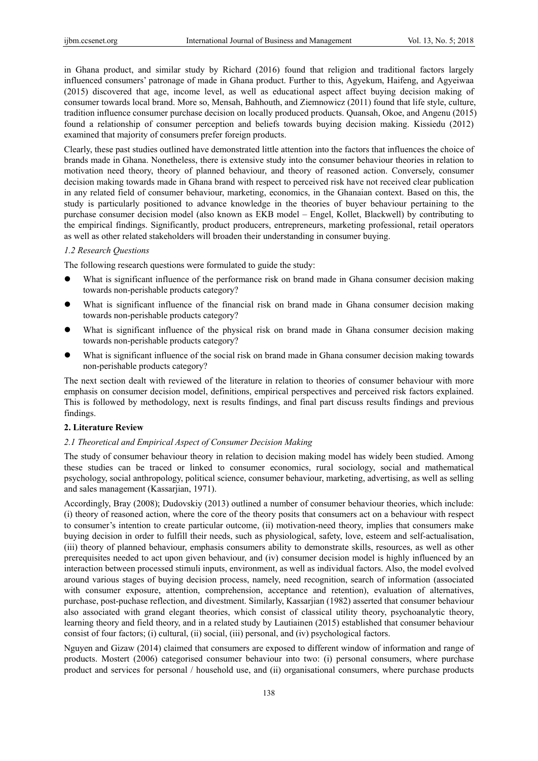in Ghana product, and similar study by Richard (2016) found that religion and traditional factors largely influenced consumers' patronage of made in Ghana product. Further to this, Agyekum, Haifeng, and Agyeiwaa (2015) discovered that age, income level, as well as educational aspect affect buying decision making of consumer towards local brand. More so, Mensah, Bahhouth, and Ziemnowicz (2011) found that life style, culture, tradition influence consumer purchase decision on locally produced products. Quansah, Okoe, and Angenu (2015) found a relationship of consumer perception and beliefs towards buying decision making. Kissiedu (2012) examined that majority of consumers prefer foreign products.

Clearly, these past studies outlined have demonstrated little attention into the factors that influences the choice of brands made in Ghana. Nonetheless, there is extensive study into the consumer behaviour theories in relation to motivation need theory, theory of planned behaviour, and theory of reasoned action. Conversely, consumer decision making towards made in Ghana brand with respect to perceived risk have not received clear publication in any related field of consumer behaviour, marketing, economics, in the Ghanaian context. Based on this, the study is particularly positioned to advance knowledge in the theories of buyer behaviour pertaining to the purchase consumer decision model (also known as EKB model – Engel, Kollet, Blackwell) by contributing to the empirical findings. Significantly, product producers, entrepreneurs, marketing professional, retail operators as well as other related stakeholders will broaden their understanding in consumer buying.

# *1.2 Research Questions*

The following research questions were formulated to guide the study:

- What is significant influence of the performance risk on brand made in Ghana consumer decision making towards non-perishable products category?
- What is significant influence of the financial risk on brand made in Ghana consumer decision making towards non-perishable products category?
- What is significant influence of the physical risk on brand made in Ghana consumer decision making towards non-perishable products category?
- What is significant influence of the social risk on brand made in Ghana consumer decision making towards non-perishable products category?

The next section dealt with reviewed of the literature in relation to theories of consumer behaviour with more emphasis on consumer decision model, definitions, empirical perspectives and perceived risk factors explained. This is followed by methodology, next is results findings, and final part discuss results findings and previous findings.

#### **2. Literature Review**

## *2.1 Theoretical and Empirical Aspect of Consumer Decision Making*

The study of consumer behaviour theory in relation to decision making model has widely been studied. Among these studies can be traced or linked to consumer economics, rural sociology, social and mathematical psychology, social anthropology, political science, consumer behaviour, marketing, advertising, as well as selling and sales management (Kassarjian, 1971).

Accordingly, Bray (2008); Dudovskiy (2013) outlined a number of consumer behaviour theories, which include: (i) theory of reasoned action, where the core of the theory posits that consumers act on a behaviour with respect to consumer's intention to create particular outcome, (ii) motivation-need theory, implies that consumers make buying decision in order to fulfill their needs, such as physiological, safety, love, esteem and self-actualisation, (iii) theory of planned behaviour, emphasis consumers ability to demonstrate skills, resources, as well as other prerequisites needed to act upon given behaviour, and (iv) consumer decision model is highly influenced by an interaction between processed stimuli inputs, environment, as well as individual factors. Also, the model evolved around various stages of buying decision process, namely, need recognition, search of information (associated with consumer exposure, attention, comprehension, acceptance and retention), evaluation of alternatives, purchase, post-puchase reflection, and divestment. Similarly, Kassarjian (1982) asserted that consumer behaviour also associated with grand elegant theories, which consist of classical utility theory, psychoanalytic theory, learning theory and field theory, and in a related study by Lautiainen (2015) established that consumer behaviour consist of four factors; (i) cultural, (ii) social, (iii) personal, and (iv) psychological factors.

Nguyen and Gizaw (2014) claimed that consumers are exposed to different window of information and range of products. Mostert (2006) categorised consumer behaviour into two: (i) personal consumers, where purchase product and services for personal / household use, and (ii) organisational consumers, where purchase products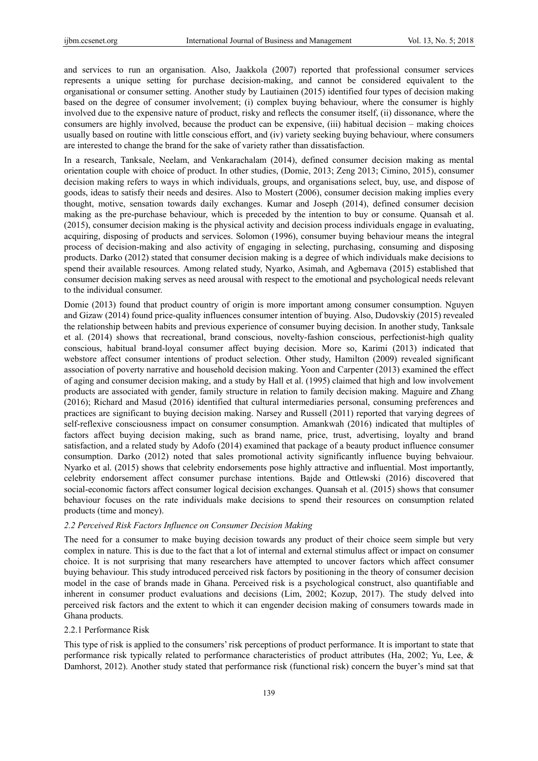and services to run an organisation. Also, Jaakkola (2007) reported that professional consumer services represents a unique setting for purchase decision-making, and cannot be considered equivalent to the organisational or consumer setting. Another study by Lautiainen (2015) identified four types of decision making based on the degree of consumer involvement; (i) complex buying behaviour, where the consumer is highly involved due to the expensive nature of product, risky and reflects the consumer itself, (ii) dissonance, where the consumers are highly involved, because the product can be expensive, (iii) habitual decision – making choices usually based on routine with little conscious effort, and (iv) variety seeking buying behaviour, where consumers are interested to change the brand for the sake of variety rather than dissatisfaction.

In a research, Tanksale, Neelam, and Venkarachalam (2014), defined consumer decision making as mental orientation couple with choice of product. In other studies, (Domie, 2013; Zeng 2013; Cimino, 2015), consumer decision making refers to ways in which individuals, groups, and organisations select, buy, use, and dispose of goods, ideas to satisfy their needs and desires. Also to Mostert (2006), consumer decision making implies every thought, motive, sensation towards daily exchanges. Kumar and Joseph (2014), defined consumer decision making as the pre-purchase behaviour, which is preceded by the intention to buy or consume. Quansah et al. (2015), consumer decision making is the physical activity and decision process individuals engage in evaluating, acquiring, disposing of products and services. Solomon (1996), consumer buying behaviour means the integral process of decision-making and also activity of engaging in selecting, purchasing, consuming and disposing products. Darko (2012) stated that consumer decision making is a degree of which individuals make decisions to spend their available resources. Among related study, Nyarko, Asimah, and Agbemava (2015) established that consumer decision making serves as need arousal with respect to the emotional and psychological needs relevant to the individual consumer.

Domie (2013) found that product country of origin is more important among consumer consumption. Nguyen and Gizaw (2014) found price-quality influences consumer intention of buying. Also, Dudovskiy (2015) revealed the relationship between habits and previous experience of consumer buying decision. In another study, Tanksale et al. (2014) shows that recreational, brand conscious, novelty-fashion conscious, perfectionist-high quality conscious, habitual brand-loyal consumer affect buying decision. More so, Karimi (2013) indicated that webstore affect consumer intentions of product selection. Other study, Hamilton (2009) revealed significant association of poverty narrative and household decision making. Yoon and Carpenter (2013) examined the effect of aging and consumer decision making, and a study by Hall et al. (1995) claimed that high and low involvement products are associated with gender, family structure in relation to family decision making. Maguire and Zhang (2016); Richard and Masud (2016) identified that cultural intermediaries personal, consuming preferences and practices are significant to buying decision making. Narsey and Russell (2011) reported that varying degrees of self-reflexive consciousness impact on consumer consumption. Amankwah (2016) indicated that multiples of factors affect buying decision making, such as brand name, price, trust, advertising, loyalty and brand satisfaction, and a related study by Adofo (2014) examined that package of a beauty product influence consumer consumption. Darko (2012) noted that sales promotional activity significantly influence buying behvaiour. Nyarko et al. (2015) shows that celebrity endorsements pose highly attractive and influential. Most importantly, celebrity endorsement affect consumer purchase intentions. Bajde and Ottlewski (2016) discovered that social-economic factors affect consumer logical decision exchanges. Quansah et al. (2015) shows that consumer behaviour focuses on the rate individuals make decisions to spend their resources on consumption related products (time and money).

## *2.2 Perceived Risk Factors Influence on Consumer Decision Making*

The need for a consumer to make buying decision towards any product of their choice seem simple but very complex in nature. This is due to the fact that a lot of internal and external stimulus affect or impact on consumer choice. It is not surprising that many researchers have attempted to uncover factors which affect consumer buying behaviour. This study introduced perceived risk factors by positioning in the theory of consumer decision model in the case of brands made in Ghana. Perceived risk is a psychological construct, also quantifiable and inherent in consumer product evaluations and decisions (Lim, 2002; Kozup, 2017). The study delved into perceived risk factors and the extent to which it can engender decision making of consumers towards made in Ghana products.

## 2.2.1 Performance Risk

This type of risk is applied to the consumers' risk perceptions of product performance. It is important to state that performance risk typically related to performance characteristics of product attributes (Ha, 2002; Yu, Lee, & Damhorst, 2012). Another study stated that performance risk (functional risk) concern the buyer's mind sat that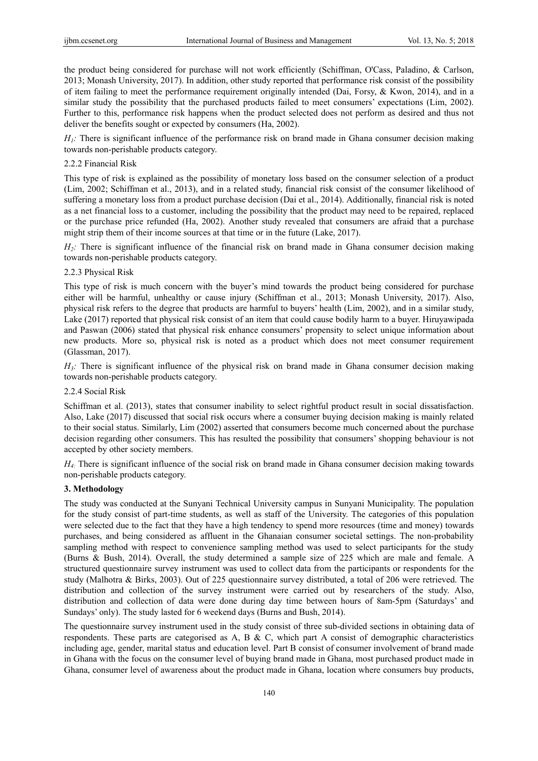the product being considered for purchase will not work efficiently (Schiffman, O'Cass, Paladino, & Carlson, 2013; Monash University, 2017). In addition, other study reported that performance risk consist of the possibility of item failing to meet the performance requirement originally intended (Dai, Forsy, & Kwon, 2014), and in a similar study the possibility that the purchased products failed to meet consumers' expectations (Lim, 2002). Further to this, performance risk happens when the product selected does not perform as desired and thus not deliver the benefits sought or expected by consumers (Ha, 2002).

*H<sub>1</sub>*: There is significant influence of the performance risk on brand made in Ghana consumer decision making towards non-perishable products category.

## 2.2.2 Financial Risk

This type of risk is explained as the possibility of monetary loss based on the consumer selection of a product (Lim, 2002; Schiffman et al., 2013), and in a related study, financial risk consist of the consumer likelihood of suffering a monetary loss from a product purchase decision (Dai et al., 2014). Additionally, financial risk is noted as a net financial loss to a customer, including the possibility that the product may need to be repaired, replaced or the purchase price refunded (Ha, 2002). Another study revealed that consumers are afraid that a purchase might strip them of their income sources at that time or in the future (Lake, 2017).

*H<sub>2</sub>*: There is significant influence of the financial risk on brand made in Ghana consumer decision making towards non-perishable products category.

# 2.2.3 Physical Risk

This type of risk is much concern with the buyer's mind towards the product being considered for purchase either will be harmful, unhealthy or cause injury (Schiffman et al., 2013; Monash University, 2017). Also, physical risk refers to the degree that products are harmful to buyers' health (Lim, 2002), and in a similar study, Lake (2017) reported that physical risk consist of an item that could cause bodily harm to a buyer. Hiruyawipada and Paswan (2006) stated that physical risk enhance consumers' propensity to select unique information about new products. More so, physical risk is noted as a product which does not meet consumer requirement (Glassman, 2017).

*H<sub>3</sub>*: There is significant influence of the physical risk on brand made in Ghana consumer decision making towards non-perishable products category.

# 2.2.4 Social Risk

Schiffman et al. (2013), states that consumer inability to select rightful product result in social dissatisfaction. Also, Lake (2017) discussed that social risk occurs where a consumer buying decision making is mainly related to their social status. Similarly, Lim (2002) asserted that consumers become much concerned about the purchase decision regarding other consumers. This has resulted the possibility that consumers' shopping behaviour is not accepted by other society members.

*H4:* There is significant influence of the social risk on brand made in Ghana consumer decision making towards non-perishable products category.

# **3. Methodology**

The study was conducted at the Sunyani Technical University campus in Sunyani Municipality. The population for the study consist of part-time students, as well as staff of the University. The categories of this population were selected due to the fact that they have a high tendency to spend more resources (time and money) towards purchases, and being considered as affluent in the Ghanaian consumer societal settings. The non-probability sampling method with respect to convenience sampling method was used to select participants for the study (Burns & Bush, 2014). Overall, the study determined a sample size of 225 which are male and female. A structured questionnaire survey instrument was used to collect data from the participants or respondents for the study (Malhotra & Birks, 2003). Out of 225 questionnaire survey distributed, a total of 206 were retrieved. The distribution and collection of the survey instrument were carried out by researchers of the study. Also, distribution and collection of data were done during day time between hours of 8am-5pm (Saturdays' and Sundays' only). The study lasted for 6 weekend days (Burns and Bush, 2014).

The questionnaire survey instrument used in the study consist of three sub-divided sections in obtaining data of respondents. These parts are categorised as A, B & C, which part A consist of demographic characteristics including age, gender, marital status and education level. Part B consist of consumer involvement of brand made in Ghana with the focus on the consumer level of buying brand made in Ghana, most purchased product made in Ghana, consumer level of awareness about the product made in Ghana, location where consumers buy products,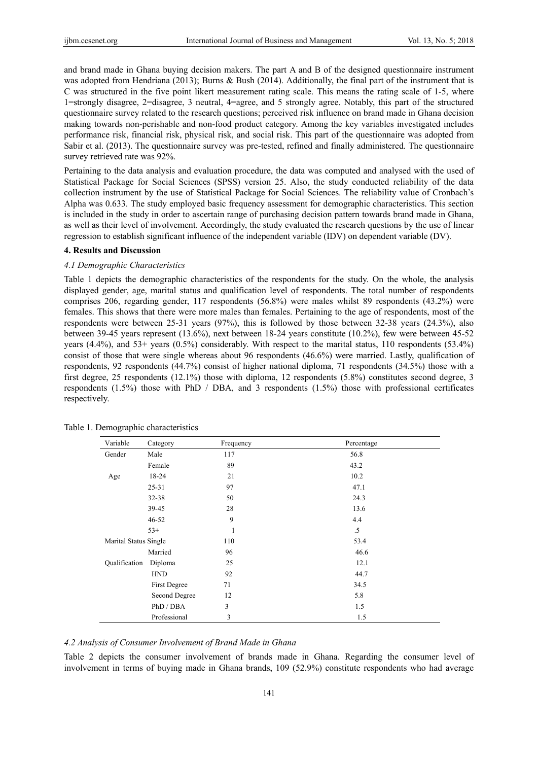and brand made in Ghana buying decision makers. The part A and B of the designed questionnaire instrument was adopted from Hendriana (2013); Burns & Bush (2014). Additionally, the final part of the instrument that is C was structured in the five point likert measurement rating scale. This means the rating scale of 1-5, where 1=strongly disagree, 2=disagree, 3 neutral, 4=agree, and 5 strongly agree. Notably, this part of the structured questionnaire survey related to the research questions; perceived risk influence on brand made in Ghana decision making towards non-perishable and non-food product category. Among the key variables investigated includes performance risk, financial risk, physical risk, and social risk. This part of the questionnaire was adopted from Sabir et al. (2013). The questionnaire survey was pre-tested, refined and finally administered. The questionnaire survey retrieved rate was 92%.

Pertaining to the data analysis and evaluation procedure, the data was computed and analysed with the used of Statistical Package for Social Sciences (SPSS) version 25. Also, the study conducted reliability of the data collection instrument by the use of Statistical Package for Social Sciences. The reliability value of Cronbach's Alpha was 0.633. The study employed basic frequency assessment for demographic characteristics. This section is included in the study in order to ascertain range of purchasing decision pattern towards brand made in Ghana, as well as their level of involvement. Accordingly, the study evaluated the research questions by the use of linear regression to establish significant influence of the independent variable (IDV) on dependent variable (DV).

## **4. Results and Discussion**

#### *4.1 Demographic Characteristics*

Table 1 depicts the demographic characteristics of the respondents for the study. On the whole, the analysis displayed gender, age, marital status and qualification level of respondents. The total number of respondents comprises 206, regarding gender, 117 respondents (56.8%) were males whilst 89 respondents (43.2%) were females. This shows that there were more males than females. Pertaining to the age of respondents, most of the respondents were between 25-31 years (97%), this is followed by those between 32-38 years (24.3%), also between 39-45 years represent (13.6%), next between 18-24 years constitute (10.2%), few were between 45-52 years (4.4%), and 53+ years (0.5%) considerably. With respect to the marital status, 110 respondents (53.4%) consist of those that were single whereas about 96 respondents (46.6%) were married. Lastly, qualification of respondents, 92 respondents (44.7%) consist of higher national diploma, 71 respondents (34.5%) those with a first degree, 25 respondents (12.1%) those with diploma, 12 respondents (5.8%) constitutes second degree, 3 respondents (1.5%) those with PhD / DBA, and 3 respondents (1.5%) those with professional certificates respectively.

| Variable              | Category      | Frequency | Percentage |  |
|-----------------------|---------------|-----------|------------|--|
| Gender                | Male          | 117       | 56.8       |  |
|                       | Female        | 89        | 43.2       |  |
| Age                   | 18-24         | 21        | 10.2       |  |
|                       | $25 - 31$     | 97        | 47.1       |  |
|                       | $32 - 38$     | 50        | 24.3       |  |
|                       | 39-45         | 28        | 13.6       |  |
|                       | $46 - 52$     | 9         | 4.4        |  |
|                       | $53+$         | 1         | .5         |  |
| Marital Status Single |               | 110       | 53.4       |  |
|                       | Married       | 96        | 46.6       |  |
| Qualification         | Diploma       | 25        | 12.1       |  |
|                       | <b>HND</b>    | 92        | 44.7       |  |
|                       | First Degree  | 71        | 34.5       |  |
|                       | Second Degree | 12        | 5.8        |  |
|                       | PhD / DBA     | 3         | 1.5        |  |
|                       | Professional  | 3         | 1.5        |  |

Table 1. Demographic characteristics

#### *4.2 Analysis of Consumer Involvement of Brand Made in Ghana*

Table 2 depicts the consumer involvement of brands made in Ghana. Regarding the consumer level of involvement in terms of buying made in Ghana brands, 109 (52.9%) constitute respondents who had average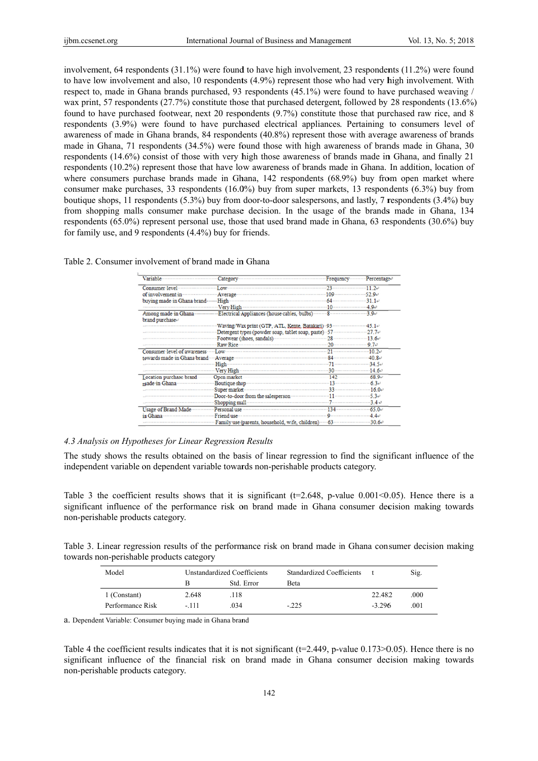involvement, 64 respondents (31.1%) were found to have high involvement, 23 respondents (11.2%) were found to have low involvement and also, 10 respondents (4.9%) represent those who had very high involvement. With respect to, made in Ghana brands purchased, 93 respondents (45.1%) were found to have purchased weaving / wax print, 57 respondents (27.7%) constitute those that purchased detergent, followed by 28 respondents (13.6%) found to have purchased footwear, next 20 respondents (9.7%) constitute those that purchased raw rice, and 8 respondents (3.9%) were found to have purchased electrical appliances. Pertaining to consumers level of awareness of made in Ghana brands, 84 respondents (40.8%) represent those with average awareness of brands made in Ghana, 71 respondents (34.5%) were found those with high awareness of brands made in Ghana, 30 respondents (14.6%) consist of those with very high those awareness of brands made in Ghana, and finally 21 respondents (10.2%) represent those that have low awareness of brands made in Ghana. In addition, location of where consumers purchase brands made in Ghana, 142 respondents (68.9%) buy from open market where consumer make purchases, 33 respondents (16.0%) buy from super markets, 13 respondents (6.3%) buy from boutique shops, 11 resp pondents (5.3 %) buy from door-to-door salespersons, and lastly, 7 r respondents (3 3.4%) buy from shopping malls consumer make purchase decision. In the usage of the brands made in Ghana, 134 respondents (65.0%) represent personal use, those that used brand made in Ghana, 63 respondents (30.6%) buy for family use, and 9 respondents (4.4%) buy for friends.

| Table 2. Consumer involvement of brand made in Ghana |  |  |  |  |
|------------------------------------------------------|--|--|--|--|
|                                                      |  |  |  |  |

| Variable-                                   | Category ····                                                                                                  | Frequency Percentage |              |
|---------------------------------------------|----------------------------------------------------------------------------------------------------------------|----------------------|--------------|
| Consumer level                              |                                                                                                                |                      | $-11.24$     |
| of involvement in                           | Average                                                                                                        |                      |              |
|                                             | buying made in Ghana brand-www.High was announced and the contract of the buying made in Ghana brand-www.High  |                      | ⊸11 1∍       |
|                                             | Very High                                                                                                      | -10                  |              |
| brand purchase                              | لبوج.3. مست المستند السياسي بين المستقل العناصر المستند المستند المستند السياسي المستند المستقل المستقل المستق |                      |              |
|                                             | Waving/Wax print (GTP, ATL, Kente, Batakari) 93 - 45.1 +                                                       |                      |              |
|                                             |                                                                                                                |                      |              |
|                                             | $\frac{13.64}{13.64}$                                                                                          |                      |              |
|                                             | Raw Rice                                                                                                       |                      |              |
| Consumer level of awareness                 | $T_{\alpha}$                                                                                                   | .21                  | $10.2+$      |
| towards made in Ghana brand ····· Average · |                                                                                                                |                      | $40.8\omega$ |
|                                             | High                                                                                                           |                      | $-34.5 +$    |
|                                             | $\frac{1}{4.68}$                                                                                               |                      |              |
| Location purchase brand                     | Open market                                                                                                    |                      | $68Q +$      |
| made in Ghana                               | <b>Boutique shop CONSECUTE:</b> 13 <b>CONSECUTE:</b> 6.3 $\downarrow$                                          |                      |              |
|                                             | Super market                                                                                                   |                      | $-16.0$      |
|                                             | Door-to-door from the salesperson                                                                              |                      |              |
|                                             | Shopping mall                                                                                                  |                      | ت 34 - ^     |
| Usage of Brand Made                         | Personal use                                                                                                   |                      |              |
| in Ghana                                    | Friend use                                                                                                     |                      |              |
|                                             |                                                                                                                |                      | -30.6₽       |

## 4.3 Analysis on Hypotheses for Linear Regression Results

The study shows the results obtained on the basis of linear regression to find the significant influence of the independent variable on dependent variable towards non-perishable products category.

Table 3 the coefficient results shows that it is significant ( $t=2.648$ , p-value 0.001<0.05). Hence there is a significant influence of the performance risk on brand made in Ghana consumer decision making towards non-perishable products category.

Table 3. Linear regression results of the performance risk on brand made in Ghana consumer decision making towards non-perishable products category

| Model            |        | Unstandardized Coefficients | Standardized Coefficients |          | Sig. |
|------------------|--------|-----------------------------|---------------------------|----------|------|
|                  |        | Std. Error                  | <b>Beta</b>               |          |      |
| 1 (Constant)     | 2.648  | .118                        |                           | 22.482   | .000 |
| Performance Risk | $-111$ | .034                        | $-.225$                   | $-3.296$ | .001 |

a. Dependent Variable: Consumer buying made in Ghana brand

Table 4 the coefficient results indicates that it is not significant ( $t=2.449$ , p-value 0.173>0.05). Hence there is no significant influence of the financial risk on brand made in Ghana consumer decision making towards non-perishable products category.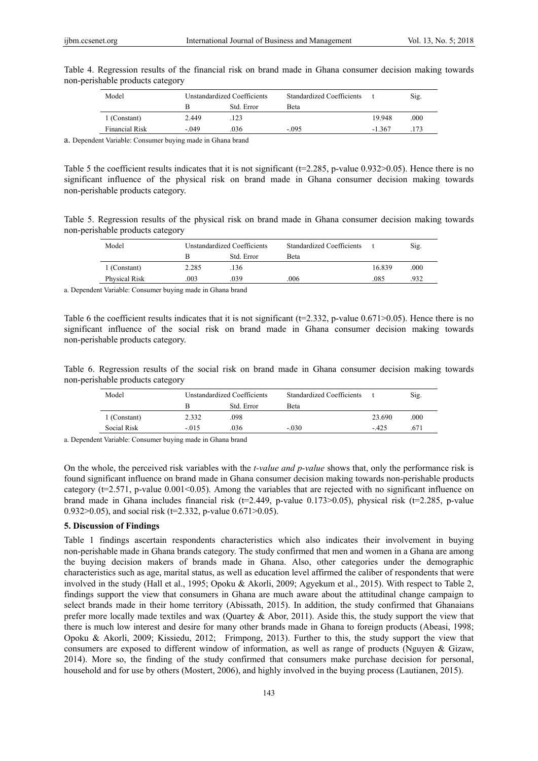| Model                 | Unstandardized Coefficients |            | Standardized Coefficients |          | Sig. |
|-----------------------|-----------------------------|------------|---------------------------|----------|------|
|                       | в                           | Std. Error | <b>Beta</b>               |          |      |
| 1 (Constant)          | 2.449                       | .123       |                           | 19.948   | .000 |
| <b>Financial Risk</b> | $-.049$                     | .036       | $-.095$                   | $-1.367$ | 173  |

Table 4. Regression results of the financial risk on brand made in Ghana consumer decision making towards non-perishable products category

a. Dependent Variable: Consumer buying made in Ghana brand

Table 5 the coefficient results indicates that it is not significant ( $t=2.285$ , p-value 0.932>0.05). Hence there is no significant influence of the physical risk on brand made in Ghana consumer decision making towards non-perishable products category.

Table 5. Regression results of the physical risk on brand made in Ghana consumer decision making towards non-perishable products category

| Model         |       | Unstandardized Coefficients | Standardized Coefficients |        | Sig. |
|---------------|-------|-----------------------------|---------------------------|--------|------|
|               |       | Std. Error                  | <b>B</b> eta              |        |      |
| 1 (Constant)  | 2.285 | .136                        |                           | 16.839 | .000 |
| Physical Risk | .003  | .039                        | .006                      | .085   | .932 |

a. Dependent Variable: Consumer buying made in Ghana brand

Table 6 the coefficient results indicates that it is not significant ( $t=2.332$ , p-value 0.671>0.05). Hence there is no significant influence of the social risk on brand made in Ghana consumer decision making towards non-perishable products category.

Table 6. Regression results of the social risk on brand made in Ghana consumer decision making towards non-perishable products category

| Model        |         | Unstandardized Coefficients | Standardized Coefficients |         | Sig. |
|--------------|---------|-----------------------------|---------------------------|---------|------|
|              | B       | Std. Error                  | <b>B</b> eta              |         |      |
| 1 (Constant) | 2.332   | .098                        |                           | 23.690  | .000 |
| Social Risk  | $-.015$ | .036                        | $-.030$                   | $-.425$ | .671 |
|              |         |                             |                           |         |      |

a. Dependent Variable: Consumer buying made in Ghana brand

On the whole, the perceived risk variables with the *t-value and p-value* shows that, only the performance risk is found significant influence on brand made in Ghana consumer decision making towards non-perishable products category ( $t=2.571$ , p-value 0.001<0.05). Among the variables that are rejected with no significant influence on brand made in Ghana includes financial risk ( $t=2.449$ , p-value 0.173 $>0.05$ ), physical risk ( $t=2.285$ , p-value 0.932>0.05), and social risk (t=2.332, p-value 0.671>0.05).

# **5. Discussion of Findings**

Table 1 findings ascertain respondents characteristics which also indicates their involvement in buying non-perishable made in Ghana brands category. The study confirmed that men and women in a Ghana are among the buying decision makers of brands made in Ghana. Also, other categories under the demographic characteristics such as age, marital status, as well as education level affirmed the caliber of respondents that were involved in the study (Hall et al., 1995; Opoku & Akorli, 2009; Agyekum et al., 2015). With respect to Table 2, findings support the view that consumers in Ghana are much aware about the attitudinal change campaign to select brands made in their home territory (Abissath, 2015). In addition, the study confirmed that Ghanaians prefer more locally made textiles and wax (Quartey & Abor, 2011). Aside this, the study support the view that there is much low interest and desire for many other brands made in Ghana to foreign products (Abeasi, 1998; Opoku & Akorli, 2009; Kissiedu, 2012; Frimpong, 2013). Further to this, the study support the view that consumers are exposed to different window of information, as well as range of products (Nguyen & Gizaw, 2014). More so, the finding of the study confirmed that consumers make purchase decision for personal, household and for use by others (Mostert, 2006), and highly involved in the buying process (Lautianen, 2015).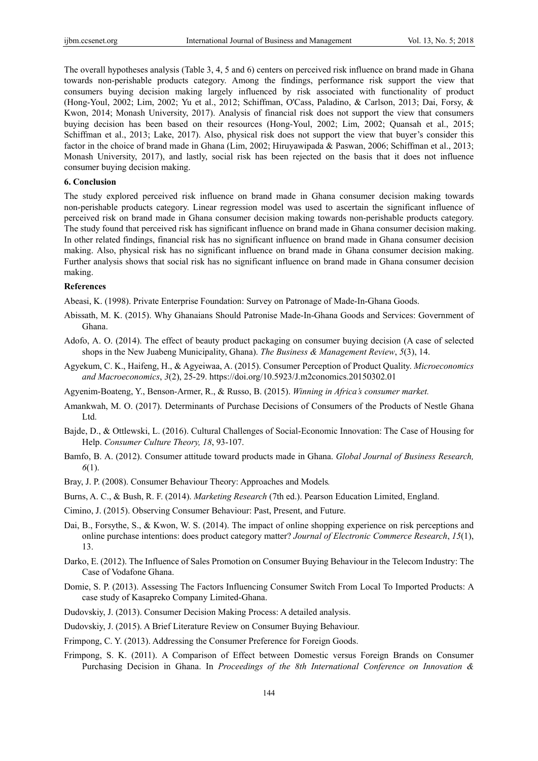The overall hypotheses analysis (Table 3, 4, 5 and 6) centers on perceived risk influence on brand made in Ghana towards non-perishable products category. Among the findings, performance risk support the view that consumers buying decision making largely influenced by risk associated with functionality of product (Hong-Youl, 2002; Lim, 2002; Yu et al., 2012; Schiffman, O'Cass, Paladino, & Carlson, 2013; Dai, Forsy, & Kwon, 2014; Monash University, 2017). Analysis of financial risk does not support the view that consumers buying decision has been based on their resources (Hong-Youl, 2002; Lim, 2002; Quansah et al., 2015; Schiffman et al., 2013; Lake, 2017). Also, physical risk does not support the view that buyer's consider this factor in the choice of brand made in Ghana (Lim, 2002; Hiruyawipada & Paswan, 2006; Schiffman et al., 2013; Monash University, 2017), and lastly, social risk has been rejected on the basis that it does not influence consumer buying decision making.

# **6. Conclusion**

The study explored perceived risk influence on brand made in Ghana consumer decision making towards non-perishable products category. Linear regression model was used to ascertain the significant influence of perceived risk on brand made in Ghana consumer decision making towards non-perishable products category. The study found that perceived risk has significant influence on brand made in Ghana consumer decision making. In other related findings, financial risk has no significant influence on brand made in Ghana consumer decision making. Also, physical risk has no significant influence on brand made in Ghana consumer decision making. Further analysis shows that social risk has no significant influence on brand made in Ghana consumer decision making.

# **References**

Abeasi, K. (1998). Private Enterprise Foundation: Survey on Patronage of Made-In-Ghana Goods.

- Abissath, M. K. (2015). Why Ghanaians Should Patronise Made-In-Ghana Goods and Services: Government of Ghana.
- Adofo, A. O. (2014). The effect of beauty product packaging on consumer buying decision (A case of selected shops in the New Juabeng Municipality, Ghana). *The Business & Management Review*, *5*(3), 14.
- Agyekum, C. K., Haifeng, H., & Agyeiwaa, A. (2015). Consumer Perception of Product Quality. *Microeconomics and Macroeconomics*, *3*(2), 25-29. https://doi.org/10.5923/J.m2conomics.20150302.01

Agyenim-Boateng, Y., Benson-Armer, R., & Russo, B. (2015). *Winning in Africa's consumer market.* 

- Amankwah, M. O. (2017). Determinants of Purchase Decisions of Consumers of the Products of Nestle Ghana Ltd.
- Bajde, D., & Ottlewski, L. (2016). Cultural Challenges of Social-Economic Innovation: The Case of Housing for Help. *Consumer Culture Theory, 18*, 93-107.
- Bamfo, B. A. (2012). Consumer attitude toward products made in Ghana. *Global Journal of Business Research, 6*(1).
- Bray, J. P. (2008). Consumer Behaviour Theory: Approaches and Models*.*
- Burns, A. C., & Bush, R. F. (2014). *Marketing Research* (7th ed.). Pearson Education Limited, England.
- Cimino, J. (2015). Observing Consumer Behaviour: Past, Present, and Future.
- Dai, B., Forsythe, S., & Kwon, W. S. (2014). The impact of online shopping experience on risk perceptions and online purchase intentions: does product category matter? *Journal of Electronic Commerce Research*, *15*(1), 13.
- Darko, E. (2012). The Influence of Sales Promotion on Consumer Buying Behaviour in the Telecom Industry: The Case of Vodafone Ghana.
- Domie, S. P. (2013). Assessing The Factors Influencing Consumer Switch From Local To Imported Products: A case study of Kasapreko Company Limited-Ghana.
- Dudovskiy, J. (2013). Consumer Decision Making Process: A detailed analysis.
- Dudovskiy, J. (2015). A Brief Literature Review on Consumer Buying Behaviour.
- Frimpong, C. Y. (2013). Addressing the Consumer Preference for Foreign Goods.
- Frimpong, S. K. (2011). A Comparison of Effect between Domestic versus Foreign Brands on Consumer Purchasing Decision in Ghana. In *Proceedings of the 8th International Conference on Innovation &*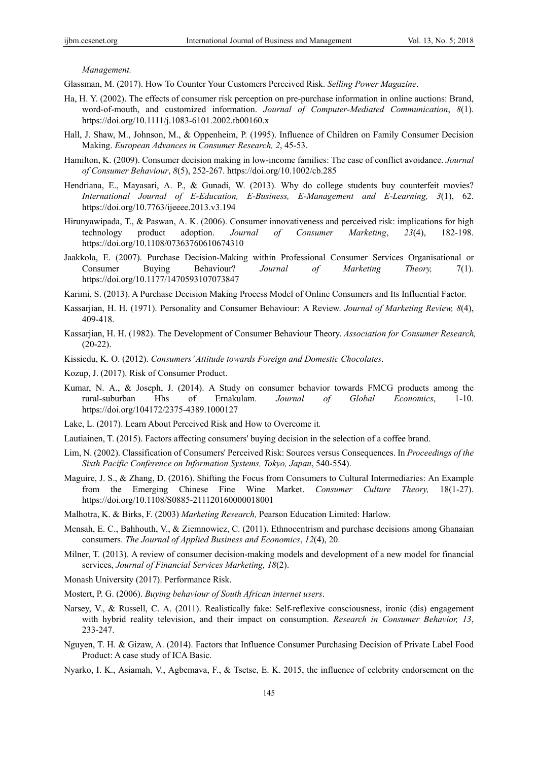#### *Management.*

Glassman, M. (2017). How To Counter Your Customers Perceived Risk. *Selling Power Magazine*.

- Ha, H. Y. (2002). The effects of consumer risk perception on pre-purchase information in online auctions: Brand, word‐of‐mouth, and customized information. *Journal of Computer‐Mediated Communication*, *8*(1). https://doi.org/10.1111/j.1083-6101.2002.tb00160.x
- Hall, J. Shaw, M., Johnson, M., & Oppenheim, P. (1995). Influence of Children on Family Consumer Decision Making. *European Advances in Consumer Research, 2*, 45-53.
- Hamilton, K. (2009). Consumer decision making in low‐income families: The case of conflict avoidance. *Journal of Consumer Behaviour*, *8*(5), 252-267. https://doi.org/10.1002/cb.285
- Hendriana, E., Mayasari, A. P., & Gunadi, W. (2013). Why do college students buy counterfeit movies? *International Journal of E-Education, E-Business, E-Management and E-Learning, 3*(1), 62. https://doi.org/10.7763/ijeeee.2013.v3.194
- Hirunyawipada, T., & Paswan, A. K. (2006). Consumer innovativeness and perceived risk: implications for high technology product adoption. *Journal of Consumer Marketing*, *23*(4), 182-198. https://doi.org/10.1108/07363760610674310
- Jaakkola, E. (2007). Purchase Decision-Making within Professional Consumer Services Organisational or Consumer Buying Behaviour? *Journal of Marketing Theory,* 7(1). https://doi.org/10.1177/1470593107073847
- Karimi, S. (2013). A Purchase Decision Making Process Model of Online Consumers and Its Influential Factor.
- Kassarjian, H. H. (1971). Personality and Consumer Behaviour: A Review. *Journal of Marketing Review, 8*(4), 409-418.
- Kassarjian, H. H. (1982). The Development of Consumer Behaviour Theory. *Association for Consumer Research,*  $(20-22)$ .
- Kissiedu, K. O. (2012). *Consumers' Attitude towards Foreign and Domestic Chocolates*.
- Kozup, J. (2017). Risk of Consumer Product.
- Kumar, N. A., & Joseph, J. (2014). A Study on consumer behavior towards FMCG products among the rural-suburban Hhs of Ernakulam. *Journal of Global Economics*, 1-10. https://doi.org/104172/2375-4389.1000127
- Lake, L. (2017). Learn About Perceived Risk and How to Overcome it*.*
- Lautiainen, T. (2015). Factors affecting consumers' buying decision in the selection of a coffee brand.
- Lim, N. (2002). Classification of Consumers' Perceived Risk: Sources versus Consequences. In *Proceedings of the Sixth Pacific Conference on Information Systems, Tokyo, Japan*, 540-554).
- Maguire, J. S., & Zhang, D. (2016). Shifting the Focus from Consumers to Cultural Intermediaries: An Example from the Emerging Chinese Fine Wine Market. *Consumer Culture Theory,* 18(1-27). https://doi.org/10.1108/S0885-211120160000018001
- Malhotra, K. & Birks, F. (2003) *Marketing Research,* Pearson Education Limited: Harlow.
- Mensah, E. C., Bahhouth, V., & Ziemnowicz, C. (2011). Ethnocentrism and purchase decisions among Ghanaian consumers. *The Journal of Applied Business and Economics*, *12*(4), 20.
- Milner, T. (2013). A review of consumer decision-making models and development of a new model for financial services, *Journal of Financial Services Marketing, 18*(2).
- Monash University (2017). Performance Risk.
- Mostert, P. G. (2006). *Buying behaviour of South African internet users*.
- Narsey, V., & Russell, C. A. (2011). Realistically fake: Self-reflexive consciousness, ironic (dis) engagement with hybrid reality television, and their impact on consumption. *Research in Consumer Behavior, 13*, 233-247.
- Nguyen, T. H. & Gizaw, A. (2014). Factors that Influence Consumer Purchasing Decision of Private Label Food Product: A case study of ICA Basic.
- Nyarko, I. K., Asiamah, V., Agbemava, F., & Tsetse, E. K. 2015, the influence of celebrity endorsement on the